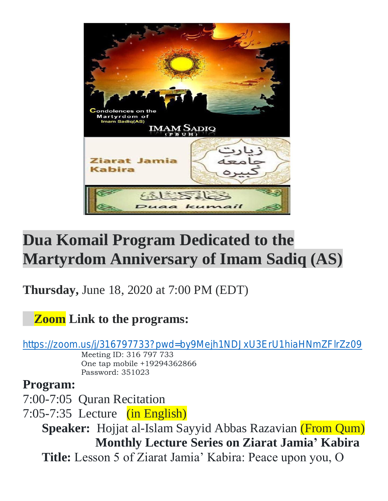

## **Dua Komail Program Dedicated to the Martyrdom Anniversary of Imam Sadiq (AS)**

**Thursday,** June 18, 2020 at 7:00 PM (EDT)

## **Zoom Link to the programs:**

<https://zoom.us/j/316797733?pwd=by9Mejh1NDJxU3ErU1hiaHNmZFlrZz09>

 Meeting ID: 316 797 733 One tap mobile +19294362866 Password: 351023

## **Program:**

7:00-7:05 Quran Recitation

7:05-7:35 Lecture (in English)

 **Speaker:** Hojjat al-Islam Sayyid Abbas Razavian (From Qum) **Monthly Lecture Series on Ziarat Jamia' Kabira Title:** Lesson 5 of Ziarat Jamia' Kabira: Peace upon you, O